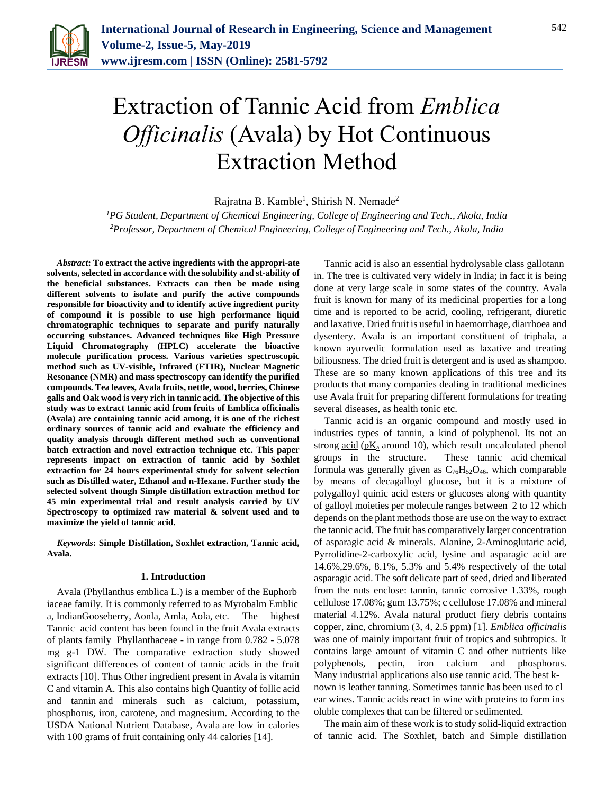

# Extraction of Tannic Acid from *Emblica Officinalis* (Avala) by Hot Continuous Extraction Method

Rajratna B. Kamble<sup>1</sup>, Shirish N. Nemade<sup>2</sup>

*<sup>1</sup>PG Student, Department of Chemical Engineering, College of Engineering and Tech., Akola, India 2Professor, Department of Chemical Engineering, College of Engineering and Tech., Akola, India*

*Abstract***: To extract the active ingredients with the appropri-ate solvents, selected in accordance with the solubility and st-ability of the beneficial substances. Extracts can then be made using different solvents to isolate and purify the active compounds responsible for bioactivity and to identify active ingredient purity of compound it is possible to use high performance liquid chromatographic techniques to separate and purify naturally occurring substances. Advanced techniques like High Pressure Liquid Chromatography (HPLC) accelerate the bioactive molecule purification process. Various varieties spectroscopic method such as UV-visible, Infrared (FTIR), Nuclear Magnetic Resonance (NMR) and mass spectroscopy can identify the purified compounds. Tea leaves, Avala fruits, nettle, wood, berries, Chinese galls and Oak wood is very rich in tannic acid. The objective of this study was to extract tannic acid from fruits of Emblica officinalis (Avala) are containing tannic acid among, it is one of the richest ordinary sources of tannic acid and evaluate the efficiency and quality analysis through different method such as conventional batch extraction and novel extraction technique etc. This paper represents impact on extraction of tannic acid by Soxhlet extraction for 24 hours experimental study for solvent selection such as Distilled water, Ethanol and n-Hexane. Further study the selected solvent though Simple distillation extraction method for 45 min experimental trial and result analysis carried by UV Spectroscopy to optimized raw material & solvent used and to maximize the yield of tannic acid.**

*Keywords***: Simple Distillation, Soxhlet extraction, Tannic acid, Avala.**

## **1. Introduction**

Avala (Phyllanthus emblica L.) is a member of the Euphorb iaceae family. It is commonly referred to as Myrobalm Emblic a, IndianGooseberry, Aonla, Amla, Aola, etc. The highest Tannic acid content has been found in the fruit Avala extracts of plants family [Phyllanthaceae](https://en.wikipedia.org/wiki/Phyllanthaceae) - in range from 0.782 - 5.078 mg g-1 DW. The comparative extraction study showed significant differences of content of tannic acids in the fruit extracts [10]. Thus Other ingredient present in Avala is vitamin C and vitamin A. This also contains high Quantity of follic acid and tannin and minerals such as calcium, potassium, phosphorus, iron, carotene, and magnesium. According to the USDA National Nutrient Database, Avala are low in calories with 100 grams of fruit containing only 44 calories [14].

Tannic acid is also an essential hydrolysable class gallotann in. The tree is cultivated very widely in India; in fact it is being done at very large scale in some states of the country. Avala fruit is known for many of its medicinal properties for a long time and is reported to be acrid, cooling, refrigerant, diuretic and laxative. Dried fruit is useful in haemorrhage, diarrhoea and dysentery. Avala is an important constituent of triphala, a known ayurvedic formulation used as laxative and treating biliousness. The dried fruit is detergent and is used as shampoo. These are so many known applications of this tree and its products that many companies dealing in traditional medicines use Avala fruit for preparing different formulations for treating several diseases, as health tonic etc.

Tannic acid is an organic compound and mostly used in industries types of tannin, a kind of [polyphenol.](https://en.wikipedia.org/wiki/Polyphenol) Its not an strong  $\frac{\text{acid}}{\text{pk}_{a}}$  $\frac{\text{acid}}{\text{pk}_{a}}$  $\frac{\text{acid}}{\text{pk}_{a}}$  around 10), which result uncalculated phenol groups in the structure. These tannic acid [chemical](https://en.wikipedia.org/wiki/Chemical_formula)  [formula](https://en.wikipedia.org/wiki/Chemical_formula) was generally given as  $C_{76}H_{52}O_{46}$ , which comparable by means of decagalloyl glucose, but it is a mixture of polygalloyl quinic acid esters or glucoses along with quantity of galloyl moieties per molecule ranges between 2 to 12 which depends on the plant methods those are use on the way to extract the tannic acid. The fruit has comparatively larger concentration of asparagic acid & minerals. Alanine, 2-Aminoglutaric acid, Pyrrolidine-2-carboxylic acid, lysine and asparagic acid are 14.6%,29.6%, 8.1%, 5.3% and 5.4% respectively of the total asparagic acid. The soft delicate part of seed, dried and liberated from the nuts enclose: tannin, tannic corrosive 1.33%, rough cellulose 17.08%; gum 13.75%; c cellulose 17.08% and mineral material 4.12%. Avala natural product fiery debris contains copper, zinc, chromium (3, 4, 2.5 ppm) [1]. *Emblica officinalis* was one of mainly important fruit of tropics and subtropics. It contains large amount of vitamin C and other nutrients like polyphenols, pectin, iron calcium and phosphorus. Many industrial applications also use tannic acid. The best known is leather tanning. Sometimes tannic has been used to cl ear wines. Tannic acids react in wine with proteins to form ins oluble complexes that can be filtered or sedimented.

The main aim of these work is to study solid-liquid extraction of tannic acid. The Soxhlet, batch and Simple distillation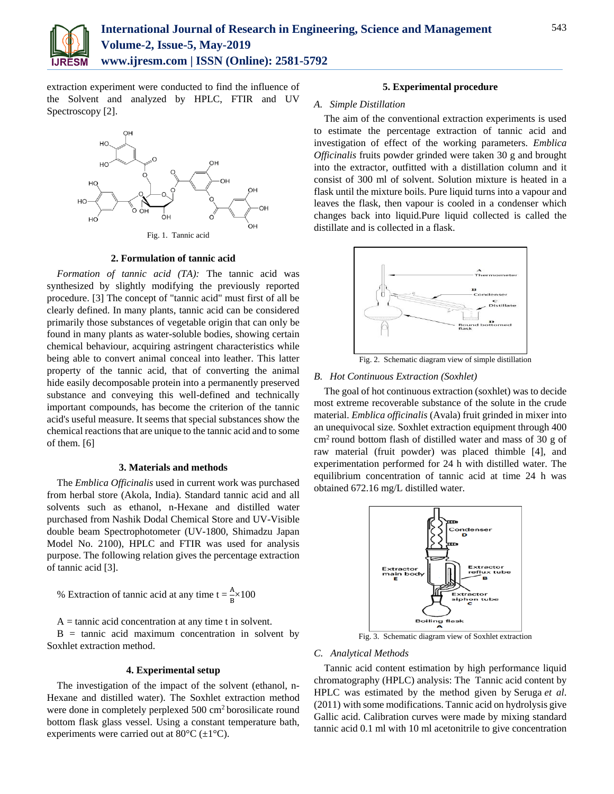

extraction experiment were conducted to find the influence of the Solvent and analyzed by HPLC, FTIR and UV Spectroscopy [2].



Fig. 1. [Tannic acid](https://en.wikipedia.org/wiki/Tannic_acid)

## **2. Formulation of tannic acid**

*Formation of tannic acid (TA):* The tannic acid was synthesized by slightly modifying the previously reported procedure. [3] The concept of "tannic acid" must first of all be clearly defined. In many plants, tannic acid can be considered primarily those substances of vegetable origin that can only be found in many plants as water-soluble bodies, showing certain chemical behaviour, acquiring astringent characteristics while being able to convert animal conceal into leather. This latter property of the tannic acid, that of converting the animal hide easily decomposable protein into a permanently preserved substance and conveying this well-defined and technically important compounds, has become the criterion of the tannic acid's useful measure. It seems that special substances show the chemical reactions that are unique to the tannic acid and to some of them. [6]

#### **3. Materials and methods**

The *Emblica Officinalis* used in current work was purchased from herbal store (Akola, India). Standard tannic acid and all solvents such as ethanol, n-Hexane and distilled water purchased from Nashik Dodal Chemical Store and UV-Visible double beam Spectrophotometer (UV-1800, Shimadzu Japan Model No. 2100), HPLC and FTIR was used for analysis purpose. The following relation gives the percentage extraction of tannic acid [3].

% Extraction of tannic acid at any time  $t = \frac{A}{B} \times 100$ 

 $A = \text{tannic acid concentration at any time } t \text{ in solvent.}$ 

 $B = \tanh \alpha$  acid maximum concentration in solvent by Soxhlet extraction method.

#### **4. Experimental setup**

The investigation of the impact of the solvent (ethanol, n-Hexane and distilled water). The Soxhlet extraction method were done in completely perplexed 500 cm<sup>2</sup> borosilicate round bottom flask glass vessel. Using a constant temperature bath, experiments were carried out at  $80^{\circ}$ C ( $\pm$ 1°C).

## **5. Experimental procedure**

## *A. Simple Distillation*

The aim of the conventional extraction experiments is used to estimate the percentage extraction of tannic acid and investigation of effect of the working parameters. *Emblica Officinalis* fruits powder grinded were taken 30 g and brought into the extractor, outfitted with a distillation column and it consist of 300 ml of solvent. Solution mixture is heated in a flask until the mixture boils. Pure liquid turns into a vapour and leaves the flask, then vapour is cooled in a condenser which changes back into liquid.Pure liquid collected is called the distillate and is collected in a flask.



## Fig. 2. Schematic diagram view of simple distillation

# *B. Hot Continuous Extraction (Soxhlet)*

The goal of hot continuous extraction (soxhlet) was to decide most extreme recoverable substance of the solute in the crude material. *Emblica officinalis* (Avala) fruit grinded in mixer into an unequivocal size. Soxhlet extraction equipment through 400 cm<sup>2</sup> round bottom flash of distilled water and mass of 30 g of raw material (fruit powder) was placed thimble [4], and experimentation performed for 24 h with distilled water. The equilibrium concentration of tannic acid at time 24 h was obtained 672.16 mg/L distilled water.



Fig. 3. Schematic diagram view of Soxhlet extraction

#### *C. Analytical Methods*

Tannic acid content estimation by high performance liquid chromatography (HPLC) analysis: The [Tannic acid](http://www.scialert.net/asci/result.php?searchin=Keywords&cat=&ascicat=ALL&Submit=Search&keyword=total+phenolic+content) content by HPLC was estimated by the method given by [Seruga](https://scialert.net/fulltextmobile/?doi=ajft.2014.151.161#1278375_ja) *et al*. [\(2011\)](https://scialert.net/fulltextmobile/?doi=ajft.2014.151.161#1278375_ja) with some modifications. Tannic acid on hydrolysis give Gallic acid. Calibration curves were made by mixing standard tannic acid 0.1 ml with 10 ml acetonitrile to give concentration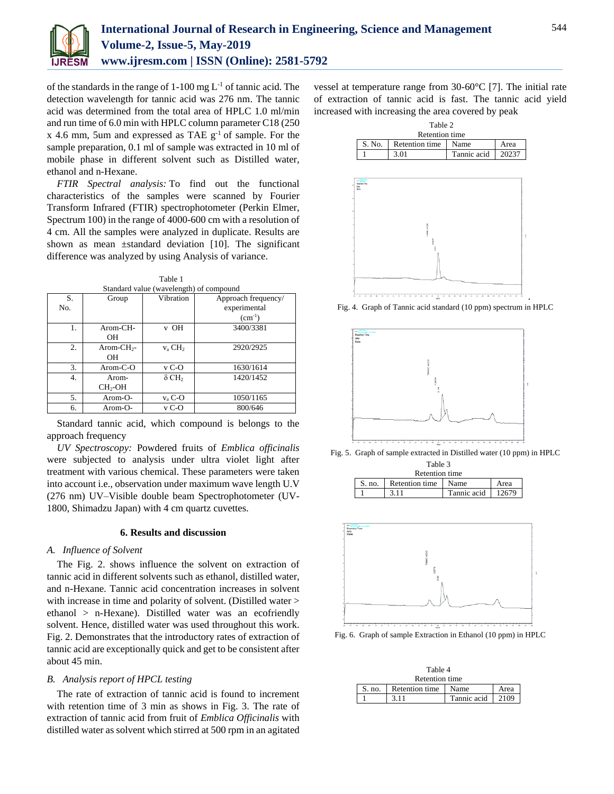

of the standards in the range of  $1-100$  mg  $L^{-1}$  of tannic acid. The detection wavelength for tannic acid was 276 nm. The tannic acid was determined from the total area of HPLC 1.0 ml/min and run time of 6.0 min with HPLC column parameter C18 (250 x 4.6 mm, 5um and expressed as TAE  $g^{-1}$  of sample. For the sample preparation, 0.1 ml of sample was extracted in 10 ml of mobile phase in different solvent such as Distilled water, ethanol and n-Hexane.

*FTIR Spectral analysis:* To find out the functional characteristics of the samples were scanned by Fourier Transform Infrared (FTIR) spectrophotometer (Perkin Elmer, Spectrum 100) in the range of 4000-600 cm with a resolution of 4 cm. All the samples were analyzed in duplicate. Results are shown as mean ±standard deviation [10]. The significant difference was analyzed by using Analysis of variance.

Table 1

| Standard value (wavelength) of compound |                     |                          |                     |  |
|-----------------------------------------|---------------------|--------------------------|---------------------|--|
| S.                                      | Group               | Vibration                | Approach frequency/ |  |
| No.                                     |                     |                          | experimental        |  |
|                                         |                     |                          | $(cm^{-1})$         |  |
| 1.                                      | $Arom-CH-$          | v OH                     | 3400/3381           |  |
|                                         | OН                  |                          |                     |  |
| 2.                                      | Arom-CH $_{2}$ -    | $v_a$ CH <sub>2</sub>    | 2920/2925           |  |
|                                         | OН                  |                          |                     |  |
| 3.                                      | $Arom-C-O$          | $v_{C-O}$                | 1630/1614           |  |
| 4.                                      | Arom-               | $\delta$ CH <sub>2</sub> | 1420/1452           |  |
|                                         | CH <sub>2</sub> -OH |                          |                     |  |
| 5.                                      | Arom-O-             | $v_a$ C-O                | 1050/1165           |  |
| 6.                                      | Arom-O-             | $v_{C-O}$                | 800/646             |  |

Standard tannic acid, which compound is belongs to the approach frequency

*UV Spectroscopy:* Powdered fruits of *Emblica officinalis*  were subjected to analysis under ultra violet light after treatment with various chemical. These parameters were taken into account i.e., observation under maximum wave length U.V (276 nm) UV–Visible double beam Spectrophotometer (UV-1800, Shimadzu Japan) with 4 cm quartz cuvettes.

# **6. Results and discussion**

## *A. Influence of Solvent*

The Fig. 2. shows influence the solvent on extraction of tannic acid in different solvents such as ethanol, distilled water, and n-Hexane. Tannic acid concentration increases in solvent with increase in time and polarity of solvent. (Distilled water  $>$ ethanol > n-Hexane). Distilled water was an ecofriendly solvent. Hence, distilled water was used throughout this work. Fig. 2. Demonstrates that the introductory rates of extraction of tannic acid are exceptionally quick and get to be consistent after about 45 min.

# *B. Analysis report of HPCL testing*

The rate of extraction of tannic acid is found to increment with retention time of 3 min as shows in Fig. 3. The rate of extraction of tannic acid from fruit of *Emblica Officinalis* with distilled water as solvent which stirred at 500 rpm in an agitated vessel at temperature range from 30-60°C [7]. The initial rate of extraction of tannic acid is fast. The tannic acid yield increased with increasing the area covered by peak





Fig. 4. Graph of Tannic acid standard (10 ppm) spectrum in HPLC



Fig. 5. Graph of sample extracted in Distilled water (10 ppm) in HPLC Table 3

| r avit J       |                     |                     |      |  |  |
|----------------|---------------------|---------------------|------|--|--|
| Retention time |                     |                     |      |  |  |
| S. no.         | Retention time Name |                     | Area |  |  |
|                | 3.11                | Tannic acid 1 12679 |      |  |  |



Fig. 6. Graph of sample Extraction in Ethanol (10 ppm) in HPLC

| Table 4        |                |             |      |  |
|----------------|----------------|-------------|------|--|
| Retention time |                |             |      |  |
| S. no.         | Retention time | Name        | Area |  |
|                | 3.11           | Tannic acid | 2109 |  |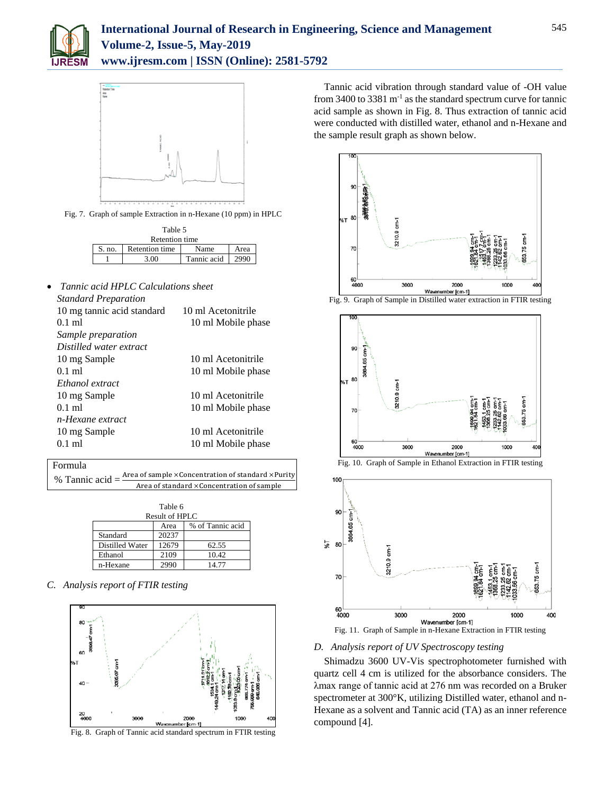



Fig. 7. Graph of sample Extraction in n-Hexane (10 ppm) in HPLC

| Table 5        |                |             |      |  |
|----------------|----------------|-------------|------|--|
| Retention time |                |             |      |  |
| S. no.         | Retention time | Name        | Area |  |
|                | 3.00           | Tannic acid | 2990 |  |

| Tannic acid HPLC Calculations sheet |                    |
|-------------------------------------|--------------------|
| <b>Standard Preparation</b>         |                    |
| 10 mg tannic acid standard          | 10 ml Acetonitrile |
| $0.1$ ml                            | 10 ml Mobile phase |
| Sample preparation                  |                    |
| Distilled water extract             |                    |
| 10 mg Sample                        | 10 ml Acetonitrile |
| $0.1$ ml                            | 10 ml Mobile phase |
| Ethanol extract                     |                    |
| 10 mg Sample                        | 10 ml Acetonitrile |
| $0.1$ ml                            | 10 ml Mobile phase |
| n-Hexane extract                    |                    |
| 10 mg Sample                        | 10 ml Acetonitrile |
| $0.1$ ml                            | 10 ml Mobile phase |
|                                     |                    |

Formula

% Tannic acid = Area of sample  $\times$  Concentration of standard  $\times$  Purity Area of standard ×Concentration of sample

| Table 6<br>Result of HPLC |       |                  |  |  |
|---------------------------|-------|------------------|--|--|
|                           | Area  | % of Tannic acid |  |  |
| Standard                  | 20237 |                  |  |  |
| Distilled Water           | 12679 | 62.55            |  |  |
| Ethanol                   | 2109  | 10.42            |  |  |
| n-Hexane                  |       | 14.77            |  |  |

*C. Analysis report of FTIR testing*





Tannic acid vibration through standard value of -OH value from 3400 to 3381 m<sup>-1</sup> as the standard spectrum curve for tannic acid sample as shown in Fig. 8. Thus extraction of tannic acid were conducted with distilled water, ethanol and n-Hexane and the sample result graph as shown below.



Fig. 9. Graph of Sample in Distilled water extraction in FTIR testing







Fig. 11. Graph of Sample in n-Hexane Extraction in FTIR testing

# *D. Analysis report of UV Spectroscopy testing*

Shimadzu 3600 UV-Vis spectrophotometer furnished with quartz cell 4 cm is utilized for the absorbance considers. The λmax range of tannic acid at 276 nm was recorded on a Bruker spectrometer at 300°K, utilizing Distilled water, ethanol and n-Hexane as a solvent and Tannic acid (TA) as an inner reference compound [4].